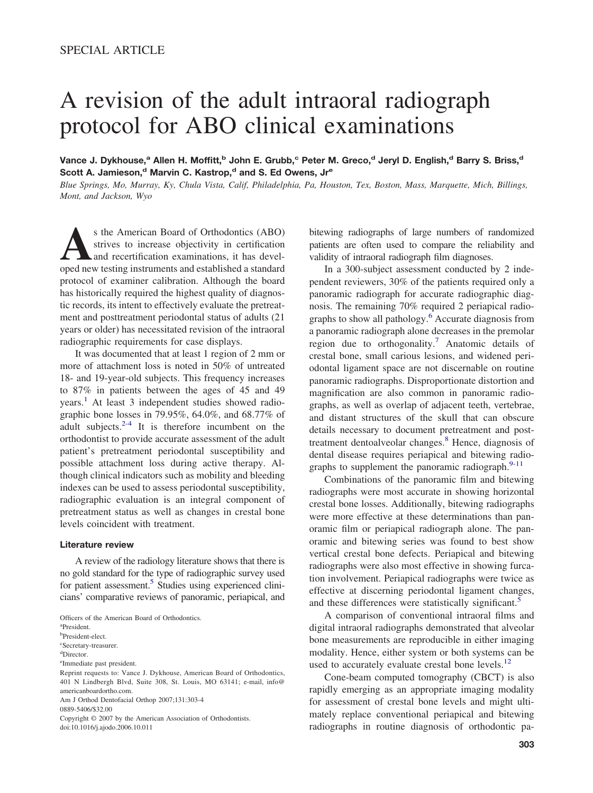# A revision of the adult intraoral radiograph protocol for ABO clinical examinations

Vance J. Dykhouse,<sup>a</sup> Allen H. Moffitt,<sup>b</sup> John E. Grubb,<sup>c</sup> Peter M. Greco,<sup>d</sup> Jeryl D. English,<sup>d</sup> Barry S. Briss,<sup>d</sup> Scott A. Jamieson,<sup>d</sup> Marvin C. Kastrop,<sup>d</sup> and S. Ed Owens, Jr<sup>e</sup>

*Blue Springs, Mo, Murray, Ky, Chula Vista, Calif, Philadelphia, Pa, Houston, Tex, Boston, Mass, Marquette, Mich, Billings, Mont, and Jackson, Wyo*

**A**s the American Board of Orthodontics (ABO) strives to increase objectivity in certification and recertification examinations, it has developed new testing instruments and established a standard protocol of examiner calibration. Although the board has historically required the highest quality of diagnostic records, its intent to effectively evaluate the pretreatment and posttreatment periodontal status of adults (21 years or older) has necessitated revision of the intraoral radiographic requirements for case displays.

It was documented that at least 1 region of 2 mm or more of attachment loss is noted in 50% of untreated 18- and 19-year-old subjects. This frequency increases to 87% in patients between the ages of 45 and 49 years.<sup>[1](#page-1-0)</sup> At least 3 independent studies showed radiographic bone losses in 79.95%, 64.0%, and 68.77% of adult subjects. $2-4$  It is therefore incumbent on the orthodontist to provide accurate assessment of the adult patient's pretreatment periodontal susceptibility and possible attachment loss during active therapy. Although clinical indicators such as mobility and bleeding indexes can be used to assess periodontal susceptibility, radiographic evaluation is an integral component of pretreatment status as well as changes in crestal bone levels coincident with treatment.

### **Literature review**

A review of the radiology literature shows that there is no gold standard for the type of radiographic survey used for patient assessment.<sup>5</sup> Studies using experienced clinicians' comparative reviews of panoramic, periapical, and

a President.

b President-elect.

c Secretary-treasurer.

Reprint requests to: Vance J. Dykhouse, American Board of Orthodontics, 401 N Lindbergh Blvd, Suite 308, St. Louis, MO 63141; e-mail, info@ americanboardortho.com.

Am J Orthod Dentofacial Orthop 2007;131:303-4

0889-5406/\$32.00

Copyright © 2007 by the American Association of Orthodontists. doi:10.1016/j.ajodo.2006.10.011

bitewing radiographs of large numbers of randomized patients are often used to compare the reliability and validity of intraoral radiograph film diagnoses.

In a 300-subject assessment conducted by 2 independent reviewers, 30% of the patients required only a panoramic radiograph for accurate radiographic diagnosis. The remaining 70% required 2 periapical radiographs to show all pathology.[6](#page-1-0) Accurate diagnosis from a panoramic radiograph alone decreases in the premolar region due to orthogonality.[7](#page-1-0) Anatomic details of crestal bone, small carious lesions, and widened periodontal ligament space are not discernable on routine panoramic radiographs. Disproportionate distortion and magnification are also common in panoramic radiographs, as well as overlap of adjacent teeth, vertebrae, and distant structures of the skull that can obscure details necessary to document pretreatment and post-treatment dentoalveolar changes.<sup>[8](#page-1-0)</sup> Hence, diagnosis of dental disease requires periapical and bitewing radiographs to supplement the panoramic radiograph. $9-11$ 

Combinations of the panoramic film and bitewing radiographs were most accurate in showing horizontal crestal bone losses. Additionally, bitewing radiographs were more effective at these determinations than panoramic film or periapical radiograph alone. The panoramic and bitewing series was found to best show vertical crestal bone defects. Periapical and bitewing radiographs were also most effective in showing furcation involvement. Periapical radiographs were twice as effective at discerning periodontal ligament changes, and these differences were statistically significant.<sup>[5](#page-1-0)</sup>

A comparison of conventional intraoral films and digital intraoral radiographs demonstrated that alveolar bone measurements are reproducible in either imaging modality. Hence, either system or both systems can be used to accurately evaluate crestal bone levels.<sup>[12](#page-1-0)</sup>

Cone-beam computed tomography (CBCT) is also rapidly emerging as an appropriate imaging modality for assessment of crestal bone levels and might ultimately replace conventional periapical and bitewing radiographs in routine diagnosis of orthodontic pa-

Officers of the American Board of Orthodontics.

d Director.

e Immediate past president.